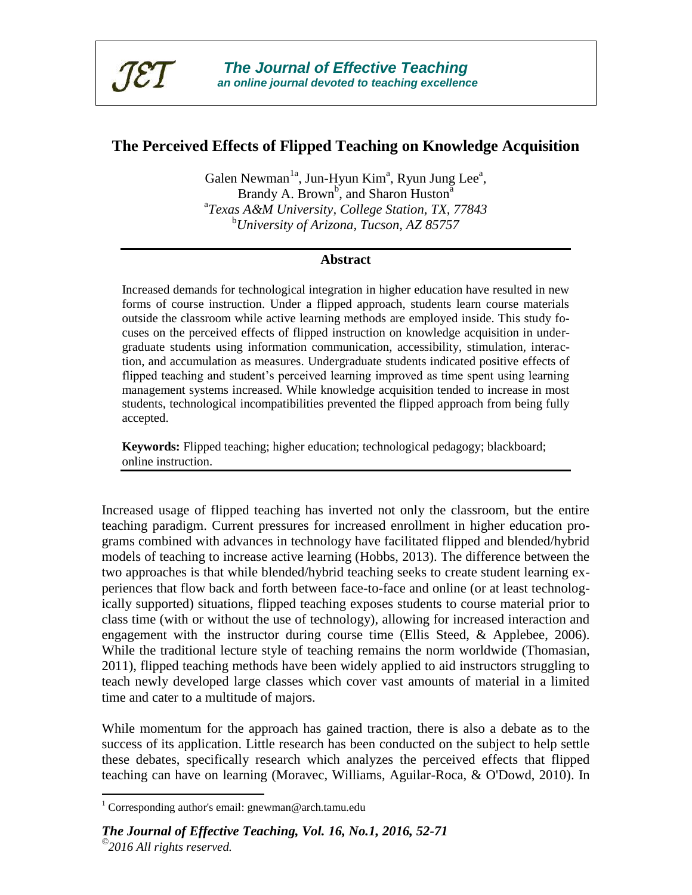

# **The Perceived Effects of Flipped Teaching on Knowledge Acquisition**

Galen Newman<sup>1a</sup>, Jun-Hyun Kim<sup>a</sup>, Ryun Jung Lee<sup>a</sup>, Brandy A. Brown<sup>b</sup>, and Sharon Huston<sup>a</sup> a *Texas A&M University, College Station, TX, 77843* <sup>b</sup>*University of Arizona, Tucson, AZ 85757*

## **Abstract**

Increased demands for technological integration in higher education have resulted in new forms of course instruction. Under a flipped approach, students learn course materials outside the classroom while active learning methods are employed inside. This study focuses on the perceived effects of flipped instruction on knowledge acquisition in undergraduate students using information communication, accessibility, stimulation, interaction, and accumulation as measures. Undergraduate students indicated positive effects of flipped teaching and student's perceived learning improved as time spent using learning management systems increased. While knowledge acquisition tended to increase in most students, technological incompatibilities prevented the flipped approach from being fully accepted.

**Keywords:** Flipped teaching; higher education; technological pedagogy; blackboard; online instruction.

Increased usage of flipped teaching has inverted not only the classroom, but the entire teaching paradigm. Current pressures for increased enrollment in higher education programs combined with advances in technology have facilitated flipped and blended/hybrid models of teaching to increase active learning (Hobbs, 2013). The difference between the two approaches is that while blended/hybrid teaching seeks to create student learning experiences that flow back and forth between face-to-face and online (or at least technologically supported) situations, flipped teaching exposes students to course material prior to class time (with or without the use of technology), allowing for increased interaction and engagement with the instructor during course time (Ellis Steed, & Applebee, 2006). While the traditional lecture style of teaching remains the norm worldwide (Thomasian, 2011), flipped teaching methods have been widely applied to aid instructors struggling to teach newly developed large classes which cover vast amounts of material in a limited time and cater to a multitude of majors.

While momentum for the approach has gained traction, there is also a debate as to the success of its application. Little research has been conducted on the subject to help settle these debates, specifically research which analyzes the perceived effects that flipped teaching can have on learning (Moravec, Williams, Aguilar-Roca, & O'Dowd, 2010). In

 $\overline{a}$ 

<sup>&</sup>lt;sup>1</sup> Corresponding author's email: gnewman@arch.tamu.edu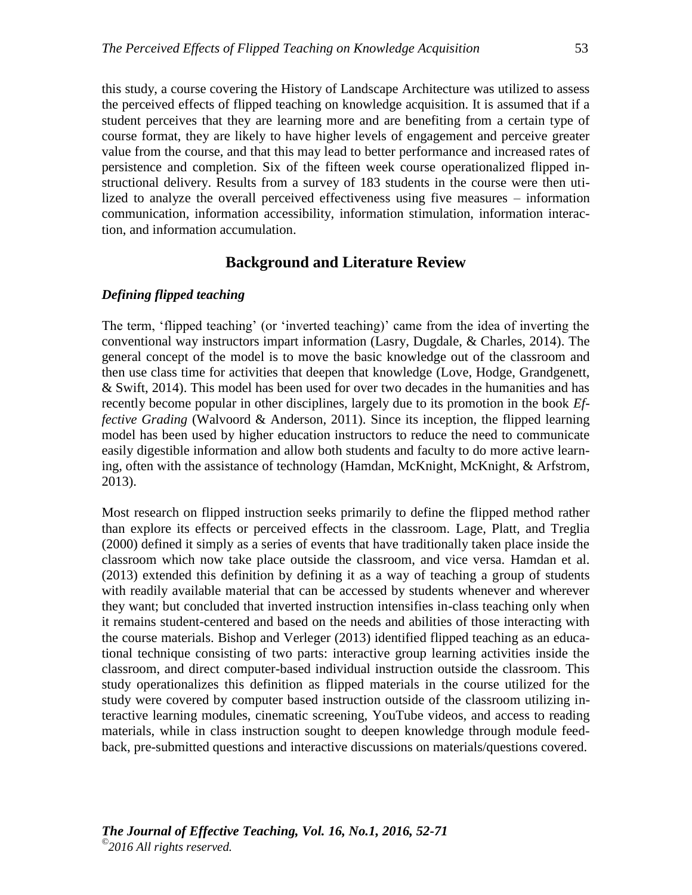this study, a course covering the History of Landscape Architecture was utilized to assess the perceived effects of flipped teaching on knowledge acquisition. It is assumed that if a student perceives that they are learning more and are benefiting from a certain type of course format, they are likely to have higher levels of engagement and perceive greater value from the course, and that this may lead to better performance and increased rates of persistence and completion. Six of the fifteen week course operationalized flipped instructional delivery. Results from a survey of 183 students in the course were then utilized to analyze the overall perceived effectiveness using five measures – information communication, information accessibility, information stimulation, information interaction, and information accumulation.

# **Background and Literature Review**

## *Defining flipped teaching*

The term, 'flipped teaching' (or 'inverted teaching)' came from the idea of inverting the conventional way instructors impart information (Lasry, Dugdale, & Charles, 2014). The general concept of the model is to move the basic knowledge out of the classroom and then use class time for activities that deepen that knowledge (Love, Hodge, Grandgenett, & Swift, 2014). This model has been used for over two decades in the humanities and has recently become popular in other disciplines, largely due to its promotion in the book *Effective Grading* (Walvoord & Anderson, 2011). Since its inception, the flipped learning model has been used by higher education instructors to reduce the need to communicate easily digestible information and allow both students and faculty to do more active learning, often with the assistance of technology (Hamdan, McKnight, McKnight, & Arfstrom, 2013).

Most research on flipped instruction seeks primarily to define the flipped method rather than explore its effects or perceived effects in the classroom. Lage, Platt, and Treglia (2000) defined it simply as a series of events that have traditionally taken place inside the classroom which now take place outside the classroom, and vice versa. Hamdan et al. (2013) extended this definition by defining it as a way of teaching a group of students with readily available material that can be accessed by students whenever and wherever they want; but concluded that inverted instruction intensifies in-class teaching only when it remains student-centered and based on the needs and abilities of those interacting with the course materials. Bishop and Verleger (2013) identified flipped teaching as an educational technique consisting of two parts: interactive group learning activities inside the classroom, and direct computer-based individual instruction outside the classroom. This study operationalizes this definition as flipped materials in the course utilized for the study were covered by computer based instruction outside of the classroom utilizing interactive learning modules, cinematic screening, YouTube videos, and access to reading materials, while in class instruction sought to deepen knowledge through module feedback, pre-submitted questions and interactive discussions on materials/questions covered.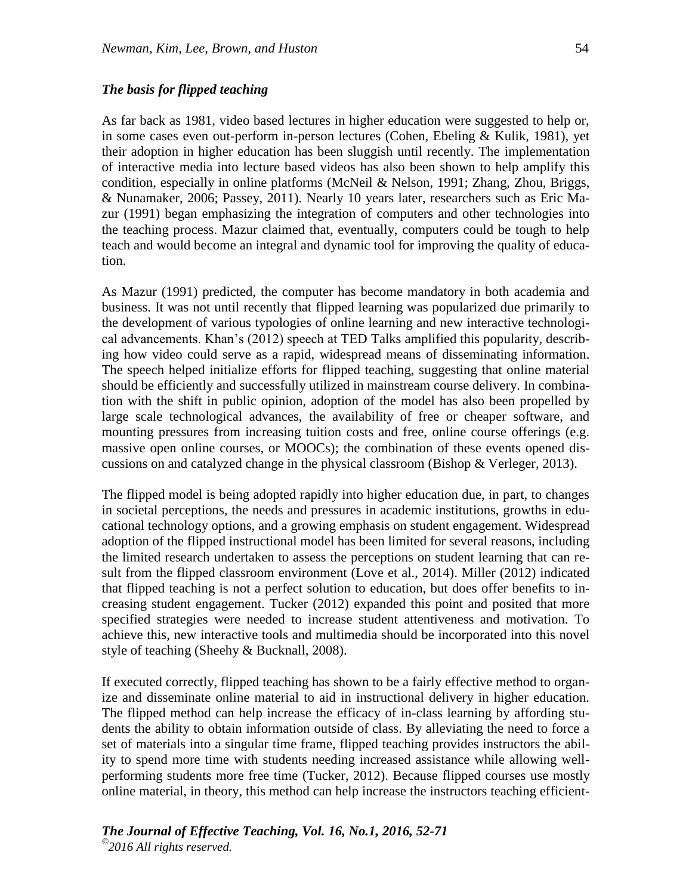## *The basis for flipped teaching*

As far back as 1981, video based lectures in higher education were suggested to help or, in some cases even out-perform in-person lectures (Cohen, Ebeling & Kulik, 1981), yet their adoption in higher education has been sluggish until recently. The implementation of interactive media into lecture based videos has also been shown to help amplify this condition, especially in online platforms (McNeil & Nelson, 1991; Zhang, Zhou, Briggs, & Nunamaker, 2006; Passey, 2011). Nearly 10 years later, researchers such as Eric Mazur (1991) began emphasizing the integration of computers and other technologies into the teaching process. Mazur claimed that, eventually, computers could be tough to help teach and would become an integral and dynamic tool for improving the quality of education.

As Mazur (1991) predicted, the computer has become mandatory in both academia and business. It was not until recently that flipped learning was popularized due primarily to the development of various typologies of online learning and new interactive technological advancements. Khan's (2012) speech at TED Talks amplified this popularity, describing how video could serve as a rapid, widespread means of disseminating information. The speech helped initialize efforts for flipped teaching, suggesting that online material should be efficiently and successfully utilized in mainstream course delivery. In combination with the shift in public opinion, adoption of the model has also been propelled by large scale technological advances, the availability of free or cheaper software, and mounting pressures from increasing tuition costs and free, online course offerings (e.g. massive open online courses, or MOOCs); the combination of these events opened discussions on and catalyzed change in the physical classroom (Bishop & Verleger, 2013).

The flipped model is being adopted rapidly into higher education due, in part, to changes in societal perceptions, the needs and pressures in academic institutions, growths in educational technology options, and a growing emphasis on student engagement. Widespread adoption of the flipped instructional model has been limited for several reasons, including the limited research undertaken to assess the perceptions on student learning that can result from the flipped classroom environment (Love et al., 2014). Miller (2012) indicated that flipped teaching is not a perfect solution to education, but does offer benefits to increasing student engagement. Tucker (2012) expanded this point and posited that more specified strategies were needed to increase student attentiveness and motivation. To achieve this, new interactive tools and multimedia should be incorporated into this novel style of teaching (Sheehy & Bucknall, 2008).

If executed correctly, flipped teaching has shown to be a fairly effective method to organize and disseminate online material to aid in instructional delivery in higher education. The flipped method can help increase the efficacy of in-class learning by affording students the ability to obtain information outside of class. By alleviating the need to force a set of materials into a singular time frame, flipped teaching provides instructors the ability to spend more time with students needing increased assistance while allowing wellperforming students more free time (Tucker, 2012). Because flipped courses use mostly online material, in theory, this method can help increase the instructors teaching efficient-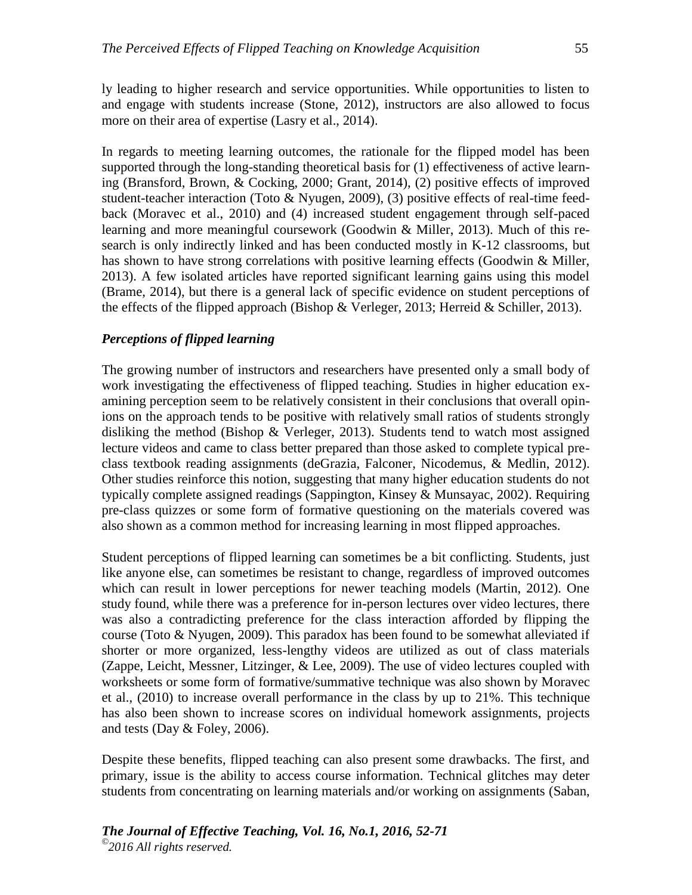ly leading to higher research and service opportunities. While opportunities to listen to and engage with students increase (Stone, 2012), instructors are also allowed to focus more on their area of expertise (Lasry et al., 2014).

In regards to meeting learning outcomes, the rationale for the flipped model has been supported through the long-standing theoretical basis for (1) effectiveness of active learning (Bransford, Brown, & Cocking, 2000; Grant, 2014), (2) positive effects of improved student-teacher interaction (Toto & Nyugen, 2009), (3) positive effects of real-time feedback (Moravec et al., 2010) and (4) increased student engagement through self-paced learning and more meaningful coursework (Goodwin & Miller, 2013). Much of this research is only indirectly linked and has been conducted mostly in K-12 classrooms, but has shown to have strong correlations with positive learning effects (Goodwin & Miller, 2013). A few isolated articles have reported significant learning gains using this model (Brame, 2014), but there is a general lack of specific evidence on student perceptions of the effects of the flipped approach (Bishop & Verleger, 2013; Herreid & Schiller, 2013).

## *Perceptions of flipped learning*

The growing number of instructors and researchers have presented only a small body of work investigating the effectiveness of flipped teaching. Studies in higher education examining perception seem to be relatively consistent in their conclusions that overall opinions on the approach tends to be positive with relatively small ratios of students strongly disliking the method (Bishop & Verleger, 2013). Students tend to watch most assigned lecture videos and came to class better prepared than those asked to complete typical preclass textbook reading assignments (deGrazia, Falconer, Nicodemus, & Medlin, 2012). Other studies reinforce this notion, suggesting that many higher education students do not typically complete assigned readings (Sappington, Kinsey & Munsayac, 2002). Requiring pre-class quizzes or some form of formative questioning on the materials covered was also shown as a common method for increasing learning in most flipped approaches.

Student perceptions of flipped learning can sometimes be a bit conflicting. Students, just like anyone else, can sometimes be resistant to change, regardless of improved outcomes which can result in lower perceptions for newer teaching models (Martin, 2012). One study found, while there was a preference for in-person lectures over video lectures, there was also a contradicting preference for the class interaction afforded by flipping the course (Toto & Nyugen, 2009). This paradox has been found to be somewhat alleviated if shorter or more organized, less-lengthy videos are utilized as out of class materials (Zappe, Leicht, Messner, Litzinger, & Lee, 2009). The use of video lectures coupled with worksheets or some form of formative/summative technique was also shown by Moravec et al., (2010) to increase overall performance in the class by up to 21%. This technique has also been shown to increase scores on individual homework assignments, projects and tests (Day & Foley, 2006).

Despite these benefits, flipped teaching can also present some drawbacks. The first, and primary, issue is the ability to access course information. Technical glitches may deter students from concentrating on learning materials and/or working on assignments (Saban,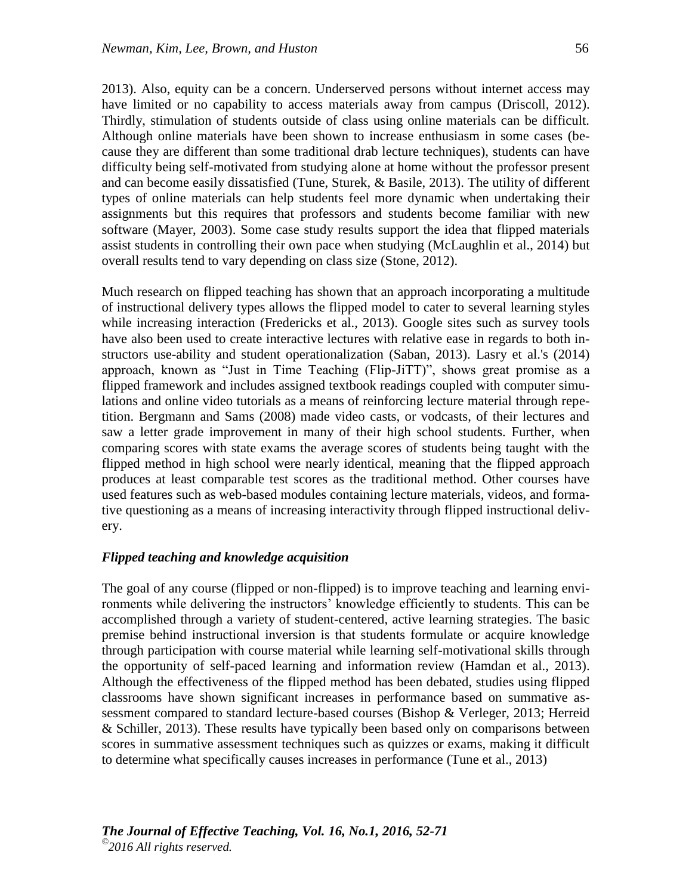2013). Also, equity can be a concern. Underserved persons without internet access may have limited or no capability to access materials away from campus (Driscoll, 2012). Thirdly, stimulation of students outside of class using online materials can be difficult. Although online materials have been shown to increase enthusiasm in some cases (because they are different than some traditional drab lecture techniques), students can have difficulty being self-motivated from studying alone at home without the professor present and can become easily dissatisfied (Tune, Sturek, & Basile, 2013). The utility of different types of online materials can help students feel more dynamic when undertaking their assignments but this requires that professors and students become familiar with new software (Mayer, 2003). Some case study results support the idea that flipped materials assist students in controlling their own pace when studying (McLaughlin et al., 2014) but overall results tend to vary depending on class size (Stone, 2012).

Much research on flipped teaching has shown that an approach incorporating a multitude of instructional delivery types allows the flipped model to cater to several learning styles while increasing interaction (Fredericks et al., 2013). Google sites such as survey tools have also been used to create interactive lectures with relative ease in regards to both instructors use-ability and student operationalization (Saban, 2013). Lasry et al.'s (2014) approach, known as "Just in Time Teaching (Flip-JiTT)", shows great promise as a flipped framework and includes assigned textbook readings coupled with computer simulations and online video tutorials as a means of reinforcing lecture material through repetition. Bergmann and Sams (2008) made video casts, or vodcasts, of their lectures and saw a letter grade improvement in many of their high school students. Further, when comparing scores with state exams the average scores of students being taught with the flipped method in high school were nearly identical, meaning that the flipped approach produces at least comparable test scores as the traditional method. Other courses have used features such as web-based modules containing lecture materials, videos, and formative questioning as a means of increasing interactivity through flipped instructional delivery.

#### *Flipped teaching and knowledge acquisition*

The goal of any course (flipped or non-flipped) is to improve teaching and learning environments while delivering the instructors' knowledge efficiently to students. This can be accomplished through a variety of student-centered, active learning strategies. The basic premise behind instructional inversion is that students formulate or acquire knowledge through participation with course material while learning self-motivational skills through the opportunity of self-paced learning and information review (Hamdan et al., 2013). Although the effectiveness of the flipped method has been debated, studies using flipped classrooms have shown significant increases in performance based on summative assessment compared to standard lecture-based courses (Bishop & Verleger, 2013; Herreid & Schiller, 2013). These results have typically been based only on comparisons between scores in summative assessment techniques such as quizzes or exams, making it difficult to determine what specifically causes increases in performance (Tune et al., 2013)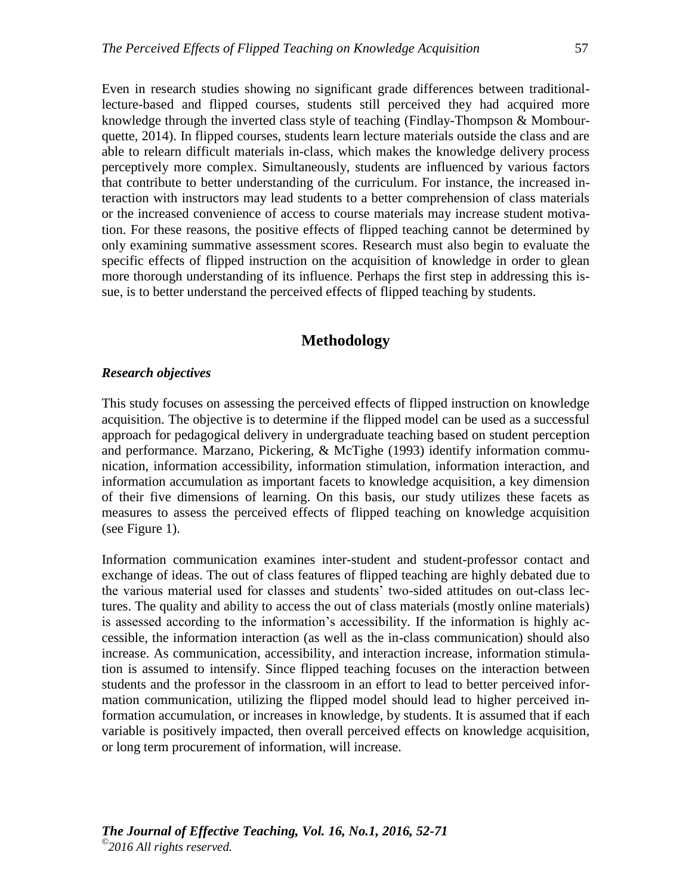Even in research studies showing no significant grade differences between traditionallecture-based and flipped courses, students still perceived they had acquired more knowledge through the inverted class style of teaching (Findlay-Thompson & Mombourquette, 2014). In flipped courses, students learn lecture materials outside the class and are able to relearn difficult materials in-class, which makes the knowledge delivery process perceptively more complex. Simultaneously, students are influenced by various factors that contribute to better understanding of the curriculum. For instance, the increased interaction with instructors may lead students to a better comprehension of class materials or the increased convenience of access to course materials may increase student motivation. For these reasons, the positive effects of flipped teaching cannot be determined by only examining summative assessment scores. Research must also begin to evaluate the specific effects of flipped instruction on the acquisition of knowledge in order to glean more thorough understanding of its influence. Perhaps the first step in addressing this issue, is to better understand the perceived effects of flipped teaching by students.

# **Methodology**

### *Research objectives*

This study focuses on assessing the perceived effects of flipped instruction on knowledge acquisition. The objective is to determine if the flipped model can be used as a successful approach for pedagogical delivery in undergraduate teaching based on student perception and performance. Marzano, Pickering, & McTighe (1993) identify information communication, information accessibility, information stimulation, information interaction, and information accumulation as important facets to knowledge acquisition, a key dimension of their five dimensions of learning. On this basis, our study utilizes these facets as measures to assess the perceived effects of flipped teaching on knowledge acquisition (see Figure 1).

Information communication examines inter-student and student-professor contact and exchange of ideas. The out of class features of flipped teaching are highly debated due to the various material used for classes and students' two-sided attitudes on out-class lectures. The quality and ability to access the out of class materials (mostly online materials) is assessed according to the information's accessibility*.* If the information is highly accessible, the information interaction (as well as the in-class communication) should also increase. As communication, accessibility, and interaction increase, information stimulation is assumed to intensify. Since flipped teaching focuses on the interaction between students and the professor in the classroom in an effort to lead to better perceived information communication, utilizing the flipped model should lead to higher perceived information accumulation, or increases in knowledge, by students. It is assumed that if each variable is positively impacted, then overall perceived effects on knowledge acquisition, or long term procurement of information, will increase.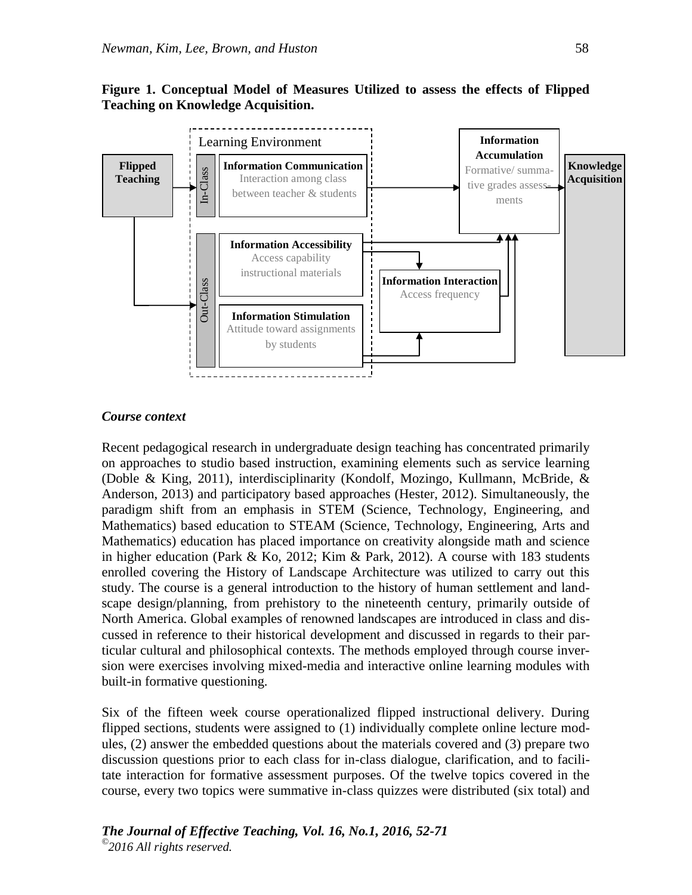# **Figure 1. Conceptual Model of Measures Utilized to assess the effects of Flipped Teaching on Knowledge Acquisition.**



#### *Course context*

Recent pedagogical research in undergraduate design teaching has concentrated primarily on approaches to studio based instruction, examining elements such as service learning (Doble & King, 2011), interdisciplinarity (Kondolf, Mozingo, Kullmann, McBride, & Anderson, 2013) and participatory based approaches (Hester, 2012). Simultaneously, the paradigm shift from an emphasis in STEM (Science, Technology, Engineering, and Mathematics) based education to STEAM (Science, Technology, Engineering, Arts and Mathematics) education has placed importance on creativity alongside math and science in higher education (Park & Ko, 2012; Kim & Park, 2012). A course with 183 students enrolled covering the History of Landscape Architecture was utilized to carry out this study. The course is a general introduction to the history of human settlement and landscape design/planning, from prehistory to the nineteenth century, primarily outside of North America. Global examples of renowned landscapes are introduced in class and discussed in reference to their historical development and discussed in regards to their particular cultural and philosophical contexts. The methods employed through course inversion were exercises involving mixed-media and interactive online learning modules with built-in formative questioning.

Six of the fifteen week course operationalized flipped instructional delivery. During flipped sections, students were assigned to (1) individually complete online lecture modules, (2) answer the embedded questions about the materials covered and (3) prepare two discussion questions prior to each class for in-class dialogue, clarification, and to facilitate interaction for formative assessment purposes. Of the twelve topics covered in the course, every two topics were summative in-class quizzes were distributed (six total) and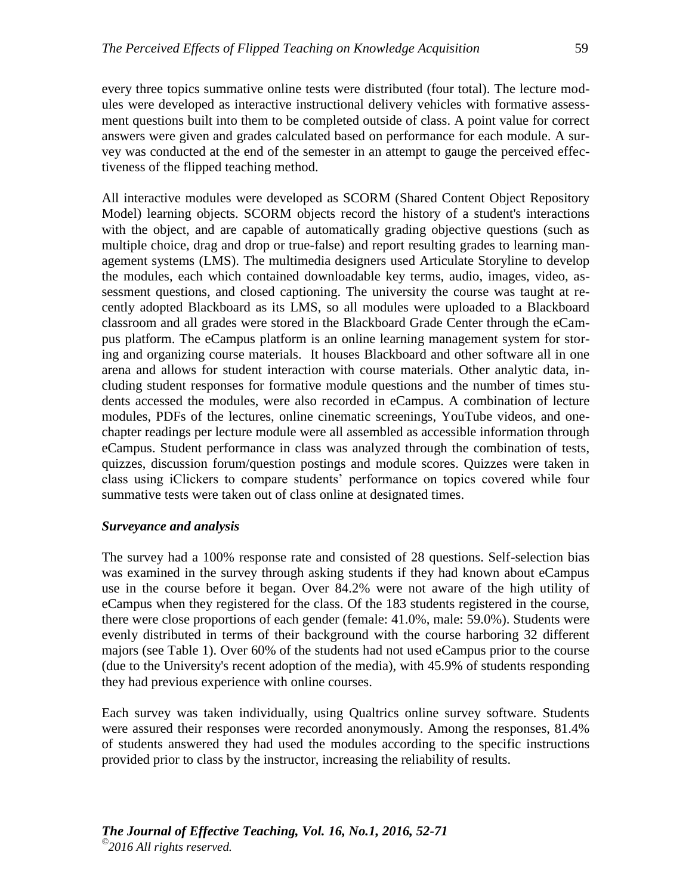every three topics summative online tests were distributed (four total). The lecture modules were developed as interactive instructional delivery vehicles with formative assessment questions built into them to be completed outside of class. A point value for correct answers were given and grades calculated based on performance for each module. A survey was conducted at the end of the semester in an attempt to gauge the perceived effectiveness of the flipped teaching method.

All interactive modules were developed as SCORM (Shared Content Object Repository Model) learning objects. SCORM objects record the history of a student's interactions with the object, and are capable of automatically grading objective questions (such as multiple choice, drag and drop or true-false) and report resulting grades to learning management systems (LMS). The multimedia designers used Articulate Storyline to develop the modules, each which contained downloadable key terms, audio, images, video, assessment questions, and closed captioning. The university the course was taught at recently adopted Blackboard as its LMS, so all modules were uploaded to a Blackboard classroom and all grades were stored in the Blackboard Grade Center through the eCampus platform. The eCampus platform is an online learning management system for storing and organizing course materials. It houses Blackboard and other software all in one arena and allows for student interaction with course materials. Other analytic data, including student responses for formative module questions and the number of times students accessed the modules, were also recorded in eCampus. A combination of lecture modules, PDFs of the lectures, online cinematic screenings, YouTube videos, and onechapter readings per lecture module were all assembled as accessible information through eCampus. Student performance in class was analyzed through the combination of tests, quizzes, discussion forum/question postings and module scores. Quizzes were taken in class using iClickers to compare students' performance on topics covered while four summative tests were taken out of class online at designated times.

#### *Surveyance and analysis*

The survey had a 100% response rate and consisted of 28 questions. Self-selection bias was examined in the survey through asking students if they had known about eCampus use in the course before it began. Over 84.2% were not aware of the high utility of eCampus when they registered for the class. Of the 183 students registered in the course, there were close proportions of each gender (female: 41.0%, male: 59.0%). Students were evenly distributed in terms of their background with the course harboring 32 different majors (see Table 1). Over 60% of the students had not used eCampus prior to the course (due to the University's recent adoption of the media), with 45.9% of students responding they had previous experience with online courses.

Each survey was taken individually, using Qualtrics online survey software. Students were assured their responses were recorded anonymously. Among the responses, 81.4% of students answered they had used the modules according to the specific instructions provided prior to class by the instructor, increasing the reliability of results.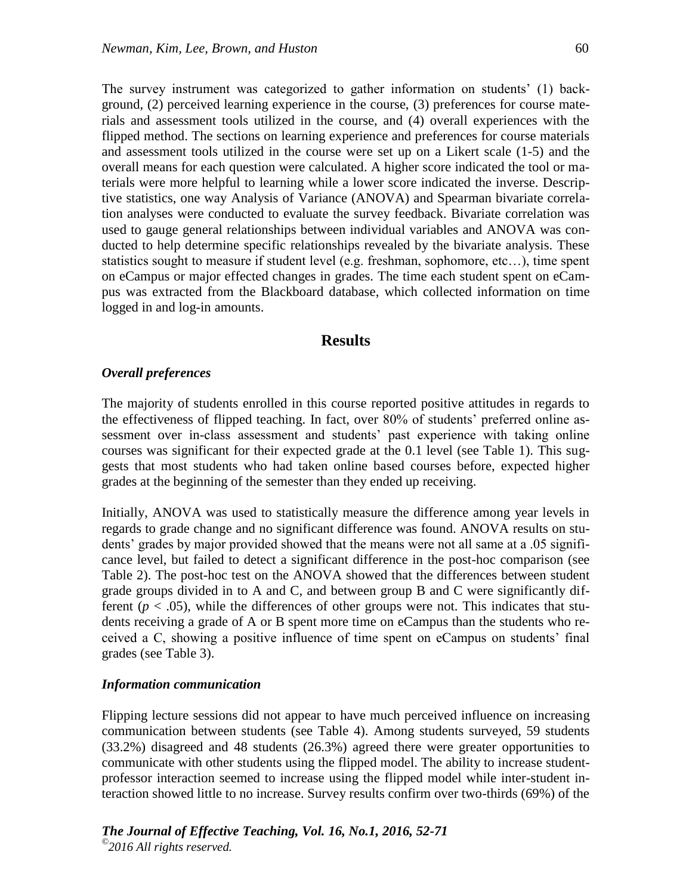The survey instrument was categorized to gather information on students' (1) background, (2) perceived learning experience in the course, (3) preferences for course materials and assessment tools utilized in the course, and (4) overall experiences with the flipped method. The sections on learning experience and preferences for course materials and assessment tools utilized in the course were set up on a Likert scale (1-5) and the overall means for each question were calculated. A higher score indicated the tool or materials were more helpful to learning while a lower score indicated the inverse. Descriptive statistics, one way Analysis of Variance (ANOVA) and Spearman bivariate correlation analyses were conducted to evaluate the survey feedback. Bivariate correlation was used to gauge general relationships between individual variables and ANOVA was conducted to help determine specific relationships revealed by the bivariate analysis. These statistics sought to measure if student level (e.g. freshman, sophomore, etc…), time spent on eCampus or major effected changes in grades. The time each student spent on eCampus was extracted from the Blackboard database, which collected information on time logged in and log-in amounts.

# **Results**

### *Overall preferences*

The majority of students enrolled in this course reported positive attitudes in regards to the effectiveness of flipped teaching. In fact, over 80% of students' preferred online assessment over in-class assessment and students' past experience with taking online courses was significant for their expected grade at the 0.1 level (see Table 1). This suggests that most students who had taken online based courses before, expected higher grades at the beginning of the semester than they ended up receiving.

Initially, ANOVA was used to statistically measure the difference among year levels in regards to grade change and no significant difference was found. ANOVA results on students' grades by major provided showed that the means were not all same at a .05 significance level, but failed to detect a significant difference in the post-hoc comparison (see Table 2). The post-hoc test on the ANOVA showed that the differences between student grade groups divided in to A and C, and between group B and C were significantly different ( $p < .05$ ), while the differences of other groups were not. This indicates that students receiving a grade of A or B spent more time on eCampus than the students who received a C, showing a positive influence of time spent on eCampus on students' final grades (see Table 3).

#### *Information communication*

Flipping lecture sessions did not appear to have much perceived influence on increasing communication between students (see Table 4). Among students surveyed, 59 students (33.2%) disagreed and 48 students (26.3%) agreed there were greater opportunities to communicate with other students using the flipped model. The ability to increase studentprofessor interaction seemed to increase using the flipped model while inter-student interaction showed little to no increase. Survey results confirm over two-thirds (69%) of the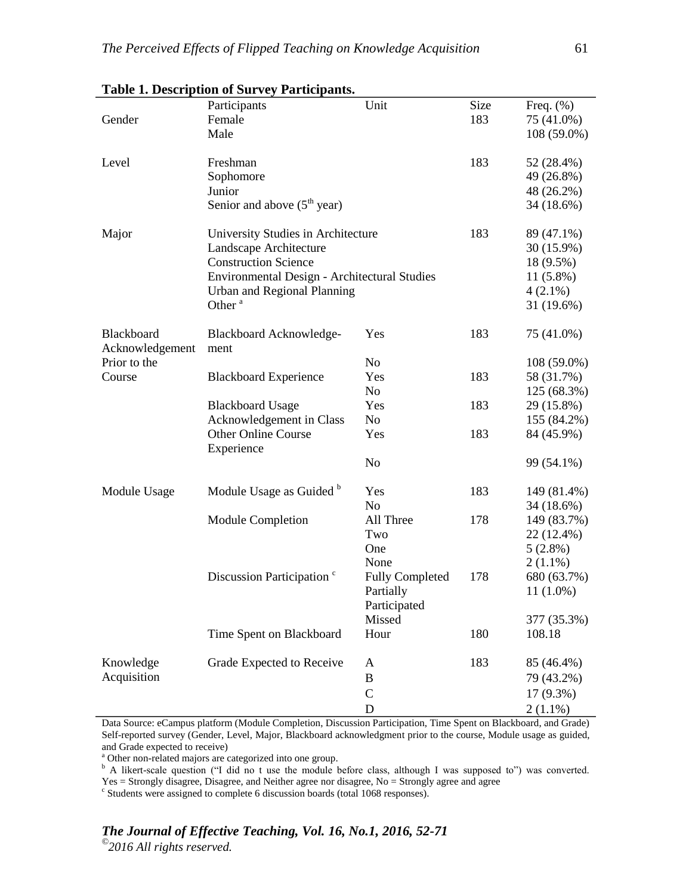|                 | Participants                                 | Unit                   | Size       | Freq. $(\%)$ |
|-----------------|----------------------------------------------|------------------------|------------|--------------|
| Gender          | Female                                       |                        | 183        | 75 (41.0%)   |
|                 | Male                                         |                        |            | 108 (59.0%)  |
|                 |                                              |                        |            |              |
| Level           | Freshman                                     |                        | 183        | 52 (28.4%)   |
|                 | Sophomore                                    |                        | 49 (26.8%) |              |
|                 | Junior                                       |                        |            | 48 (26.2%)   |
|                 | Senior and above $(5th$ year)                |                        |            | 34 (18.6%)   |
|                 |                                              |                        |            |              |
| Major           | University Studies in Architecture           |                        | 183        | 89 (47.1%)   |
|                 | Landscape Architecture                       |                        |            | 30 (15.9%)   |
|                 | <b>Construction Science</b>                  |                        |            | 18 (9.5%)    |
|                 | Environmental Design - Architectural Studies |                        |            | $11(5.8\%)$  |
|                 | Urban and Regional Planning                  |                        |            | $4(2.1\%)$   |
|                 | Other <sup>a</sup>                           |                        |            | 31 (19.6%)   |
|                 |                                              |                        |            |              |
| Blackboard      | Blackboard Acknowledge-                      | Yes                    | 183        | 75 (41.0%)   |
| Acknowledgement | ment                                         |                        |            |              |
| Prior to the    |                                              | No.                    |            | 108 (59.0%)  |
| Course          | <b>Blackboard Experience</b>                 | Yes                    | 183        | 58 (31.7%)   |
|                 |                                              | No                     |            | 125 (68.3%)  |
|                 | <b>Blackboard Usage</b>                      | Yes                    | 183        | 29 (15.8%)   |
|                 | Acknowledgement in Class                     | No                     |            | 155 (84.2%)  |
|                 | <b>Other Online Course</b>                   | Yes                    | 183        | 84 (45.9%)   |
|                 | Experience                                   |                        |            |              |
|                 |                                              | N <sub>0</sub>         |            | 99 (54.1%)   |
|                 |                                              |                        |            |              |
| Module Usage    | Module Usage as Guided <sup>b</sup>          | Yes                    | 183        | 149 (81.4%)  |
|                 |                                              | N <sub>0</sub>         |            | 34 (18.6%)   |
|                 | <b>Module Completion</b>                     | All Three              | 178        | 149 (83.7%)  |
|                 |                                              | Two                    |            | 22 (12.4%)   |
|                 |                                              | One                    |            | $5(2.8\%)$   |
|                 |                                              | None                   |            | $2(1.1\%)$   |
|                 | Discussion Participation <sup>c</sup>        | <b>Fully Completed</b> | 178        | 680 (63.7%)  |
|                 |                                              | Partially              |            | $11(1.0\%)$  |
|                 |                                              | Participated           |            |              |
|                 |                                              | Missed                 |            | 377 (35.3%)  |
|                 | Time Spent on Blackboard                     | Hour                   | 180        | 108.18       |
|                 |                                              |                        |            |              |
| Knowledge       | Grade Expected to Receive                    | A                      | 183        | 85 (46.4%)   |
| Acquisition     |                                              | $\boldsymbol{B}$       |            | 79 (43.2%)   |
|                 |                                              | $\mathcal{C}$          |            | $17(9.3\%)$  |
|                 |                                              | D                      |            | $2(1.1\%)$   |

# **Table 1. Description of Survey Participants.**

Data Source: eCampus platform (Module Completion, Discussion Participation, Time Spent on Blackboard, and Grade) Self-reported survey (Gender, Level, Major, Blackboard acknowledgment prior to the course, Module usage as guided, and Grade expected to receive)

<sup>a</sup> Other non-related majors are categorized into one group.

<sup>b</sup> A likert-scale question ("I did no t use the module before class, although I was supposed to") was converted. Yes = Strongly disagree, Disagree, and Neither agree nor disagree, No = Strongly agree and agree

<sup>c</sup> Students were assigned to complete 6 discussion boards (total 1068 responses).

# *The Journal of Effective Teaching, Vol. 16, No.1, 2016, 52-71*

*© 2016 All rights reserved.*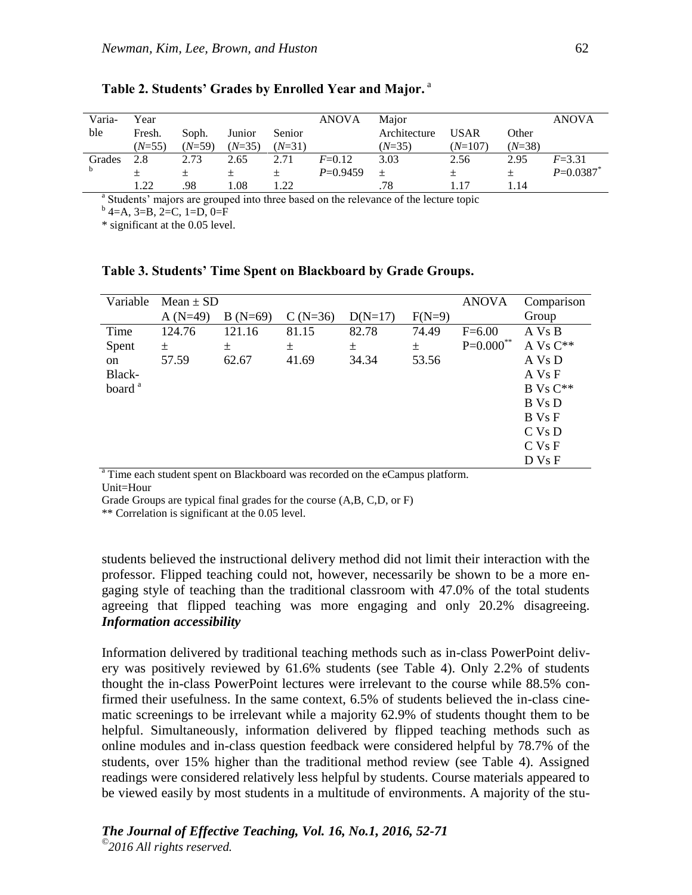| Varia- | Year     |          |          |          | <b>ANOVA</b> | Maior        |             |          | <b>ANOVA</b> |
|--------|----------|----------|----------|----------|--------------|--------------|-------------|----------|--------------|
| ble    | Fresh.   | Soph.    | Junior   | Senior   |              | Architecture | <b>USAR</b> | Other    |              |
|        | $(N=55)$ | $(N=59)$ | $(N=35)$ | $(N=31)$ |              | $(N=35)$     | $(N=107)$   | $(N=38)$ |              |
| Grades | 2.8      | 2.73     | 2.65     | 2.71     | $F = 0.12$   | 3.03         | 2.56        | 2.95     | $F = 3.31$   |
|        |          | $+$      |          |          | $P=0.9459$   | $+$          |             |          | $P=0.0387$ * |
|        | 1.22     | .98      | 1.08     | l.22     |              | .78          | 1.17        | 1.14     |              |

# **Table 2. Students' Grades by Enrolled Year and Major.** a

<sup>a</sup> Students' majors are grouped into three based on the relevance of the lecture topic

 $b$  4=A, 3=B, 2=C, 1=D, 0=F

\* significant at the 0.05 level.

| Variable           | Mean $\pm$ SD |           | <b>ANOVA</b> | Comparison |          |                |                   |
|--------------------|---------------|-----------|--------------|------------|----------|----------------|-------------------|
|                    | $A(N=49)$     | $B(N=69)$ | $C(N=36)$    | $D(N=17)$  | $F(N=9)$ |                | Group             |
| Time               | 124.76        | 121.16    | 81.15        | 82.78      | 74.49    | $F=6.00$       | A Vs B            |
| Spent              | 土             | 土         | 土            | 土          | $\pm$    | $P = 0.000$ ** | A Vs $C^{**}$     |
| on                 | 57.59         | 62.67     | 41.69        | 34.34      | 53.56    |                | A Vs D            |
| Black-             |               |           |              |            |          |                | A Vs F            |
| board <sup>a</sup> |               |           |              |            |          |                | $B Vs C**$        |
|                    |               |           |              |            |          |                | B Vs D            |
|                    |               |           |              |            |          |                | B Vs F            |
|                    |               |           |              |            |          |                | $C$ Vs $D$        |
|                    |               |           |              |            |          |                | C <sub>VS</sub> F |
|                    |               |           |              |            |          |                | D Vs F            |

## **Table 3. Students' Time Spent on Blackboard by Grade Groups.**

<sup>a</sup> Time each student spent on Blackboard was recorded on the eCampus platform. Unit=Hour

Grade Groups are typical final grades for the course (A,B, C,D, or F)

\*\* Correlation is significant at the 0.05 level.

students believed the instructional delivery method did not limit their interaction with the professor. Flipped teaching could not, however, necessarily be shown to be a more engaging style of teaching than the traditional classroom with 47.0% of the total students agreeing that flipped teaching was more engaging and only 20.2% disagreeing. *Information accessibility* 

Information delivered by traditional teaching methods such as in-class PowerPoint delivery was positively reviewed by 61.6% students (see Table 4). Only 2.2% of students thought the in-class PowerPoint lectures were irrelevant to the course while 88.5% confirmed their usefulness. In the same context, 6.5% of students believed the in-class cinematic screenings to be irrelevant while a majority 62.9% of students thought them to be helpful. Simultaneously, information delivered by flipped teaching methods such as online modules and in-class question feedback were considered helpful by 78.7% of the students, over 15% higher than the traditional method review (see Table 4). Assigned readings were considered relatively less helpful by students. Course materials appeared to be viewed easily by most students in a multitude of environments. A majority of the stu-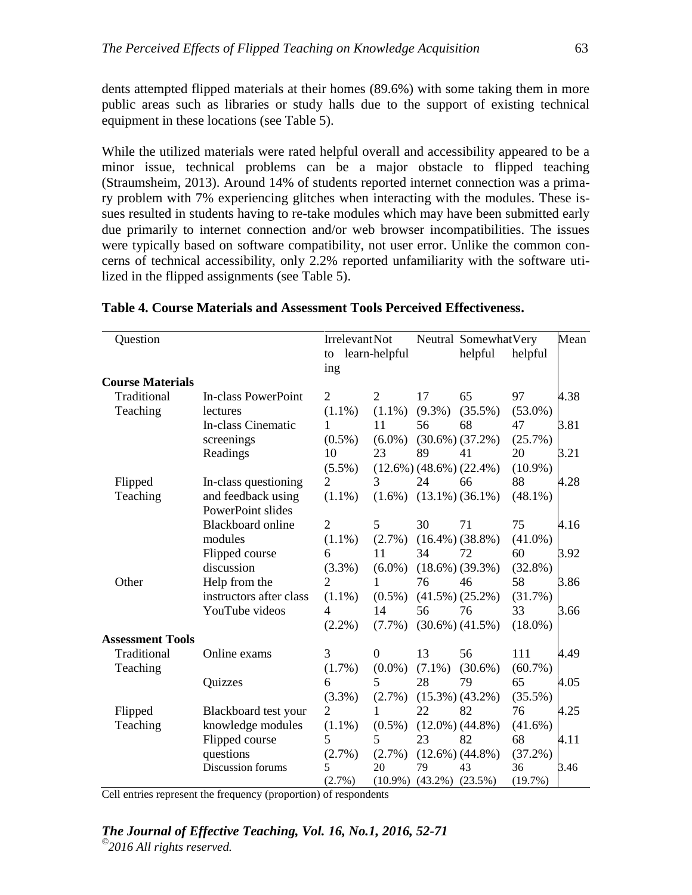dents attempted flipped materials at their homes (89.6%) with some taking them in more public areas such as libraries or study halls due to the support of existing technical equipment in these locations (see Table 5).

While the utilized materials were rated helpful overall and accessibility appeared to be a minor issue, technical problems can be a major obstacle to flipped teaching (Straumsheim, 2013). Around 14% of students reported internet connection was a primary problem with 7% experiencing glitches when interacting with the modules. These issues resulted in students having to re-take modules which may have been submitted early due primarily to internet connection and/or web browser incompatibilities. The issues were typically based on software compatibility, not user error. Unlike the common concerns of technical accessibility, only 2.2% reported unfamiliarity with the software utilized in the flipped assignments (see Table 5).

| Question                |                          | Irrelevant Not |                  |           | Neutral SomewhatVery             |            | Mean |
|-------------------------|--------------------------|----------------|------------------|-----------|----------------------------------|------------|------|
|                         |                          |                | to learn-helpful |           | helpful                          | helpful    |      |
|                         |                          | ing            |                  |           |                                  |            |      |
| <b>Course Materials</b> |                          |                |                  |           |                                  |            |      |
| Traditional             | In-class PowerPoint      | $\overline{2}$ | $\overline{2}$   | 17        | 65                               | 97         | 4.38 |
| Teaching                | lectures                 | $(1.1\%)$      | $(1.1\%)$        | $(9.3\%)$ | $(35.5\%)$                       | $(53.0\%)$ |      |
|                         | In-class Cinematic       | 1              | 11               | 56        | 68                               | 47         | 3.81 |
|                         | screenings               | $(0.5\%)$      | $(6.0\%)$        |           | $(30.6\%) (37.2\%)$              | $(25.7\%)$ |      |
|                         | Readings                 | 10             | 23               | 89        | 41                               | 20         | 3.21 |
|                         |                          | $(5.5\%)$      |                  |           | $(12.6\%) (48.6\%) (22.4\%)$     | $(10.9\%)$ |      |
| Flipped                 | In-class questioning     | $\overline{2}$ | $\overline{3}$   | 24        | 66                               | 88         | 4.28 |
| Teaching                | and feedback using       | $(1.1\%)$      |                  |           | $(1.6\%)$ $(13.1\%)$ $(36.1\%)$  | $(48.1\%)$ |      |
|                         | PowerPoint slides        |                |                  |           |                                  |            |      |
|                         | <b>Blackboard online</b> | $\overline{2}$ | 5                | 30        | 71                               | 75         | 4.16 |
|                         | modules                  | $(1.1\%)$      | $(2.7\%)$        |           | $(16.4\%) (38.8\%)$              | $(41.0\%)$ |      |
|                         | Flipped course           | 6              | 11               | 34        | 72                               | 60         | 3.92 |
|                         | discussion               | (3.3%)         | $(6.0\%)$        |           | $(18.6\%) (39.3\%)$              | $(32.8\%)$ |      |
| Other                   | Help from the            | 2              | 1                | 76        | 46                               | 58         | 3.86 |
|                         | instructors after class  | $(1.1\%)$      | $(0.5\%)$        |           | $(41.5\%) (25.2\%)$              | (31.7%)    |      |
|                         | YouTube videos           | 4              | 14               | 56        | 76                               | 33         | 3.66 |
|                         |                          | $(2.2\%)$      | $(7.7\%)$        |           | $(30.6\%) (41.5\%)$              | $(18.0\%)$ |      |
| <b>Assessment Tools</b> |                          |                |                  |           |                                  |            |      |
| Traditional             | Online exams             | 3              | $\Omega$         | 13        | 56                               | 111        | 4.49 |
| Teaching                |                          | $(1.7\%)$      | $(0.0\%)$        | $(7.1\%)$ | $(30.6\%)$                       | $(60.7\%)$ |      |
|                         | Quizzes                  | 6              | 5                | 28        | 79                               | 65         | 4.05 |
|                         |                          | (3.3%)         | $(2.7\%)$        |           | $(15.3\%) (43.2\%)$              | $(35.5\%)$ |      |
| Flipped                 | Blackboard test your     | 2              | 1                | 22        | 82                               | 76         | 4.25 |
| Teaching                | knowledge modules        | $(1.1\%)$      | $(0.5\%)$        |           | $(12.0\%) (44.8\%)$              | $(41.6\%)$ |      |
|                         | Flipped course           | 5              | 5                | 23        | 82                               | 68         | 4.11 |
|                         | questions                | $(2.7\%)$      | $(2.7\%)$        |           | $(12.6\%) (44.8\%)$              | $(37.2\%)$ |      |
|                         | Discussion forums        | 5              | 20               | 79        | 43                               | 36         | 3.46 |
|                         |                          | (2.7%)         |                  |           | $(10.9\%)$ $(43.2\%)$ $(23.5\%)$ | (19.7%)    |      |

**Table 4. Course Materials and Assessment Tools Perceived Effectiveness.**

Cell entries represent the frequency (proportion) of respondents

### *The Journal of Effective Teaching, Vol. 16, No.1, 2016, 52-71*

*© 2016 All rights reserved.*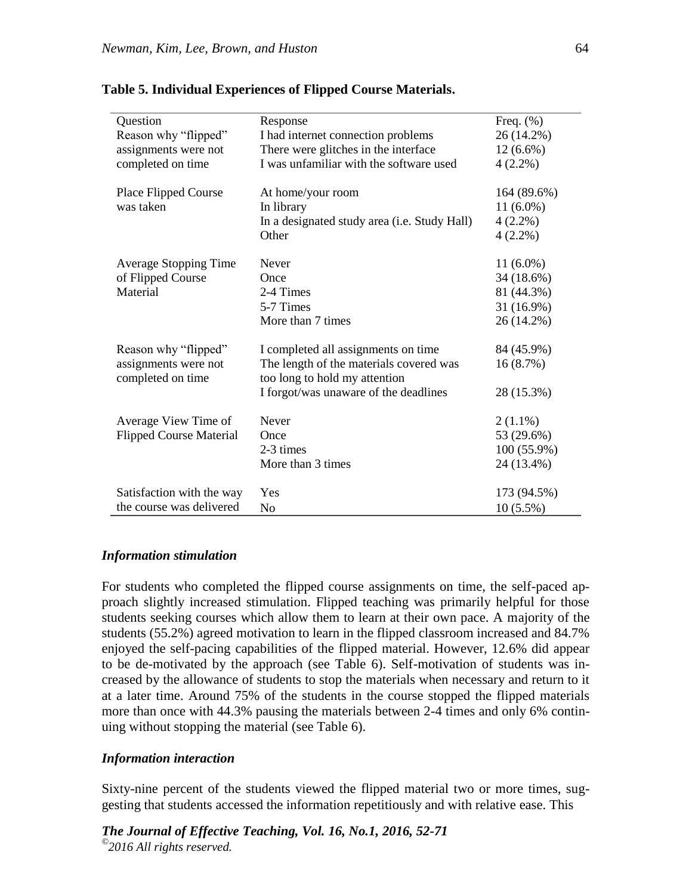| Question                       | Response                                     | Freq. $(\%)$ |
|--------------------------------|----------------------------------------------|--------------|
| Reason why "flipped"           | I had internet connection problems           | 26 (14.2%)   |
| assignments were not           | There were glitches in the interface         | $12(6.6\%)$  |
| completed on time              | I was unfamiliar with the software used      | $4(2.2\%)$   |
| Place Flipped Course           | At home/your room                            | 164 (89.6%)  |
| was taken                      | In library                                   | $11(6.0\%)$  |
|                                | In a designated study area (i.e. Study Hall) | $4(2.2\%)$   |
|                                | Other                                        | $4(2.2\%)$   |
| <b>Average Stopping Time</b>   | <b>Never</b>                                 | $11(6.0\%)$  |
| of Flipped Course              | Once                                         | 34 (18.6%)   |
| Material                       | 2-4 Times                                    | 81 (44.3%)   |
|                                | 5-7 Times                                    | 31 (16.9%)   |
|                                | More than 7 times                            | 26 (14.2%)   |
|                                |                                              |              |
| Reason why "flipped"           | I completed all assignments on time          | 84 (45.9%)   |
| assignments were not           | The length of the materials covered was      | 16(8.7%)     |
| completed on time              | too long to hold my attention                |              |
|                                | I forgot/was unaware of the deadlines        | 28 (15.3%)   |
|                                |                                              |              |
| Average View Time of           | Never                                        | $2(1.1\%)$   |
| <b>Flipped Course Material</b> | Once                                         | 53 (29.6%)   |
|                                | 2-3 times                                    | 100 (55.9%)  |
|                                | More than 3 times                            | 24 (13.4%)   |
| Satisfaction with the way      | Yes                                          | 173 (94.5%)  |
|                                |                                              |              |
| the course was delivered       | N <sub>o</sub>                               | $10(5.5\%)$  |

#### **Table 5. Individual Experiences of Flipped Course Materials.**

## *Information stimulation*

For students who completed the flipped course assignments on time, the self-paced approach slightly increased stimulation. Flipped teaching was primarily helpful for those students seeking courses which allow them to learn at their own pace. A majority of the students (55.2%) agreed motivation to learn in the flipped classroom increased and 84.7% enjoyed the self-pacing capabilities of the flipped material. However, 12.6% did appear to be de-motivated by the approach (see Table 6). Self-motivation of students was increased by the allowance of students to stop the materials when necessary and return to it at a later time. Around 75% of the students in the course stopped the flipped materials more than once with 44.3% pausing the materials between 2-4 times and only 6% continuing without stopping the material (see Table 6).

### *Information interaction*

Sixty-nine percent of the students viewed the flipped material two or more times, suggesting that students accessed the information repetitiously and with relative ease. This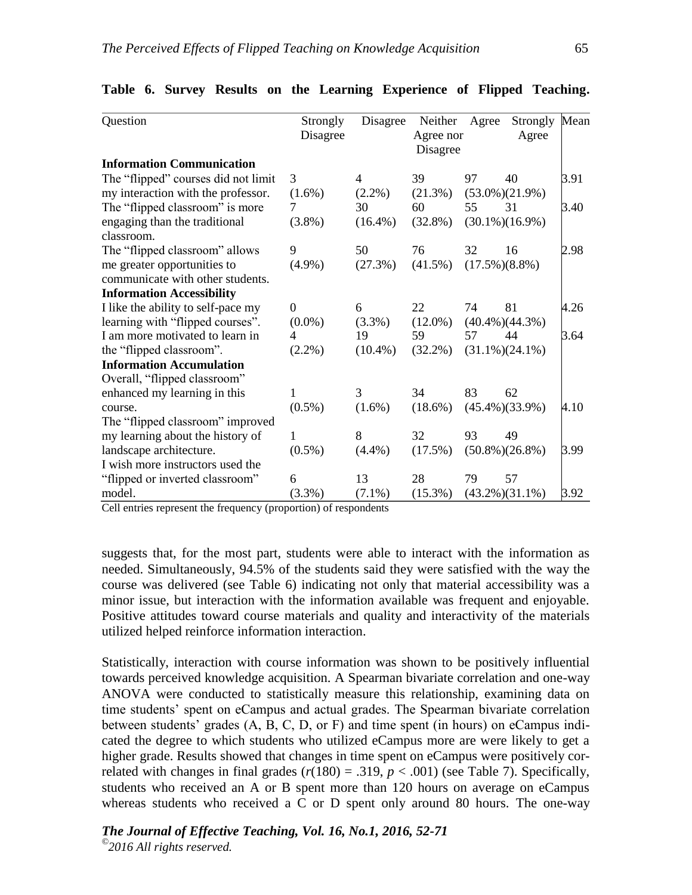| Question                            | Strongly  | Disagree       | Neither    | Agree | Strongly              | Mean |
|-------------------------------------|-----------|----------------|------------|-------|-----------------------|------|
|                                     | Disagree  |                | Agree nor  |       | Agree                 |      |
|                                     |           |                | Disagree   |       |                       |      |
| <b>Information Communication</b>    |           |                |            |       |                       |      |
| The "flipped" courses did not limit | 3         | $\overline{4}$ | 39         | 97    | 40                    | 3.91 |
| my interaction with the professor.  | $(1.6\%)$ | $(2.2\%)$      | (21.3%)    |       | $(53.0\%)$ $(21.9\%)$ |      |
| The "flipped classroom" is more     | 7         | 30             | 60         | 55    | 31                    | 3.40 |
| engaging than the traditional       | $(3.8\%)$ | $(16.4\%)$     | $(32.8\%)$ |       | $(30.1\%)$ $(16.9\%)$ |      |
| classroom.                          |           |                |            |       |                       |      |
| The "flipped classroom" allows      | 9         | 50             | 76         | 32    | 16                    | 2.98 |
| me greater opportunities to         | $(4.9\%)$ | (27.3%)        | $(41.5\%)$ |       | $(17.5\%)$ $(8.8\%)$  |      |
| communicate with other students.    |           |                |            |       |                       |      |
| <b>Information Accessibility</b>    |           |                |            |       |                       |      |
| I like the ability to self-pace my  | $\Omega$  | 6              | 22         | 74    | 81                    | 4.26 |
| learning with "flipped courses".    | $(0.0\%)$ | $(3.3\%)$      | $(12.0\%)$ |       | $(40.4\%)$ $(44.3\%)$ |      |
| I am more motivated to learn in     | 4         | 19             | 59         | 57    | 44                    | 3.64 |
| the "flipped classroom".            | $(2.2\%)$ | $(10.4\%)$     | $(32.2\%)$ |       | $(31.1\%)$ $(24.1\%)$ |      |
| <b>Information Accumulation</b>     |           |                |            |       |                       |      |
| Overall, "flipped classroom"        |           |                |            |       |                       |      |
| enhanced my learning in this        | 1         | 3              | 34         | 83    | 62                    |      |
| course.                             | $(0.5\%)$ | $(1.6\%)$      | $(18.6\%)$ |       | $(45.4\%)$ $(33.9\%)$ | 4.10 |
| The "flipped classroom" improved    |           |                |            |       |                       |      |
| my learning about the history of    | 1         | 8              | 32         | 93    | 49                    |      |
| landscape architecture.             | $(0.5\%)$ | $(4.4\%)$      | (17.5%)    |       | $(50.8\%)$ $(26.8\%)$ | 3.99 |
| I wish more instructors used the    |           |                |            |       |                       |      |
| "flipped or inverted classroom"     | 6         | 13             | 28         | 79    | 57                    |      |
| model.                              | $(3.3\%)$ | $(7.1\%)$      | $(15.3\%)$ |       | $(43.2\%)$ $(31.1\%)$ | 3.92 |

|  |  |  |  |  |  | Table 6. Survey Results on the Learning Experience of Flipped Teaching. |  |  |  |
|--|--|--|--|--|--|-------------------------------------------------------------------------|--|--|--|
|--|--|--|--|--|--|-------------------------------------------------------------------------|--|--|--|

Cell entries represent the frequency (proportion) of respondents

suggests that, for the most part, students were able to interact with the information as needed. Simultaneously, 94.5% of the students said they were satisfied with the way the course was delivered (see Table 6) indicating not only that material accessibility was a minor issue, but interaction with the information available was frequent and enjoyable. Positive attitudes toward course materials and quality and interactivity of the materials utilized helped reinforce information interaction.

Statistically, interaction with course information was shown to be positively influential towards perceived knowledge acquisition. A Spearman bivariate correlation and one-way ANOVA were conducted to statistically measure this relationship, examining data on time students' spent on eCampus and actual grades. The Spearman bivariate correlation between students' grades (A, B, C, D, or F) and time spent (in hours) on eCampus indicated the degree to which students who utilized eCampus more are were likely to get a higher grade. Results showed that changes in time spent on eCampus were positively correlated with changes in final grades  $(r(180) = .319, p < .001)$  (see Table 7). Specifically, students who received an A or B spent more than 120 hours on average on eCampus whereas students who received a C or D spent only around 80 hours. The one-way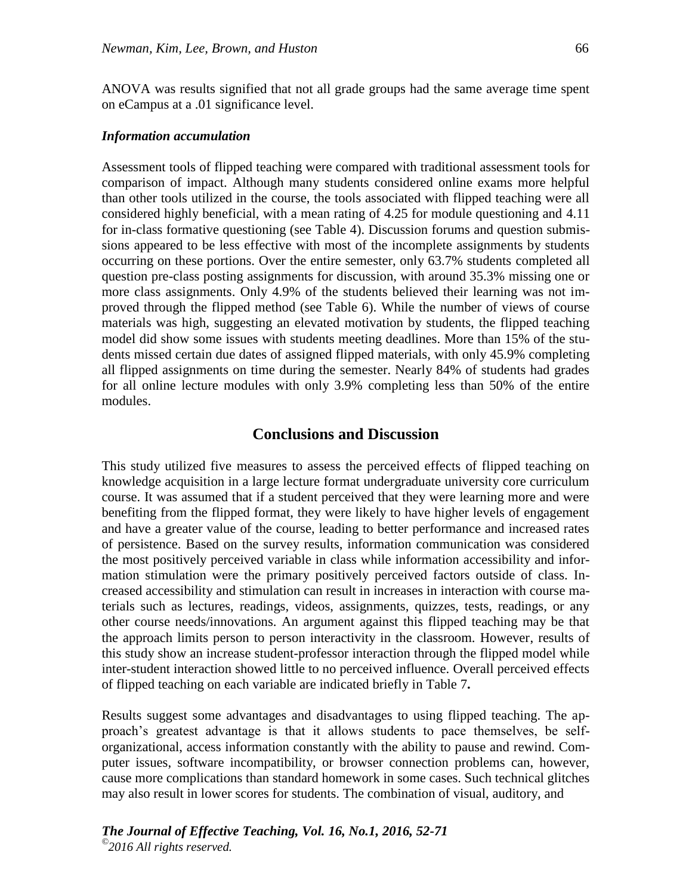ANOVA was results signified that not all grade groups had the same average time spent on eCampus at a .01 significance level.

#### *Information accumulation*

Assessment tools of flipped teaching were compared with traditional assessment tools for comparison of impact. Although many students considered online exams more helpful than other tools utilized in the course, the tools associated with flipped teaching were all considered highly beneficial, with a mean rating of 4.25 for module questioning and 4.11 for in-class formative questioning (see Table 4). Discussion forums and question submissions appeared to be less effective with most of the incomplete assignments by students occurring on these portions. Over the entire semester, only 63.7% students completed all question pre-class posting assignments for discussion, with around 35.3% missing one or more class assignments. Only 4.9% of the students believed their learning was not improved through the flipped method (see Table 6). While the number of views of course materials was high, suggesting an elevated motivation by students, the flipped teaching model did show some issues with students meeting deadlines. More than 15% of the students missed certain due dates of assigned flipped materials, with only 45.9% completing all flipped assignments on time during the semester. Nearly 84% of students had grades for all online lecture modules with only 3.9% completing less than 50% of the entire modules.

## **Conclusions and Discussion**

This study utilized five measures to assess the perceived effects of flipped teaching on knowledge acquisition in a large lecture format undergraduate university core curriculum course. It was assumed that if a student perceived that they were learning more and were benefiting from the flipped format, they were likely to have higher levels of engagement and have a greater value of the course, leading to better performance and increased rates of persistence. Based on the survey results, information communication was considered the most positively perceived variable in class while information accessibility and information stimulation were the primary positively perceived factors outside of class. Increased accessibility and stimulation can result in increases in interaction with course materials such as lectures, readings, videos, assignments, quizzes, tests, readings, or any other course needs/innovations. An argument against this flipped teaching may be that the approach limits person to person interactivity in the classroom. However, results of this study show an increase student-professor interaction through the flipped model while inter-student interaction showed little to no perceived influence. Overall perceived effects of flipped teaching on each variable are indicated briefly in Table 7**.**

Results suggest some advantages and disadvantages to using flipped teaching. The approach's greatest advantage is that it allows students to pace themselves, be selforganizational, access information constantly with the ability to pause and rewind. Computer issues, software incompatibility, or browser connection problems can, however, cause more complications than standard homework in some cases. Such technical glitches may also result in lower scores for students. The combination of visual, auditory, and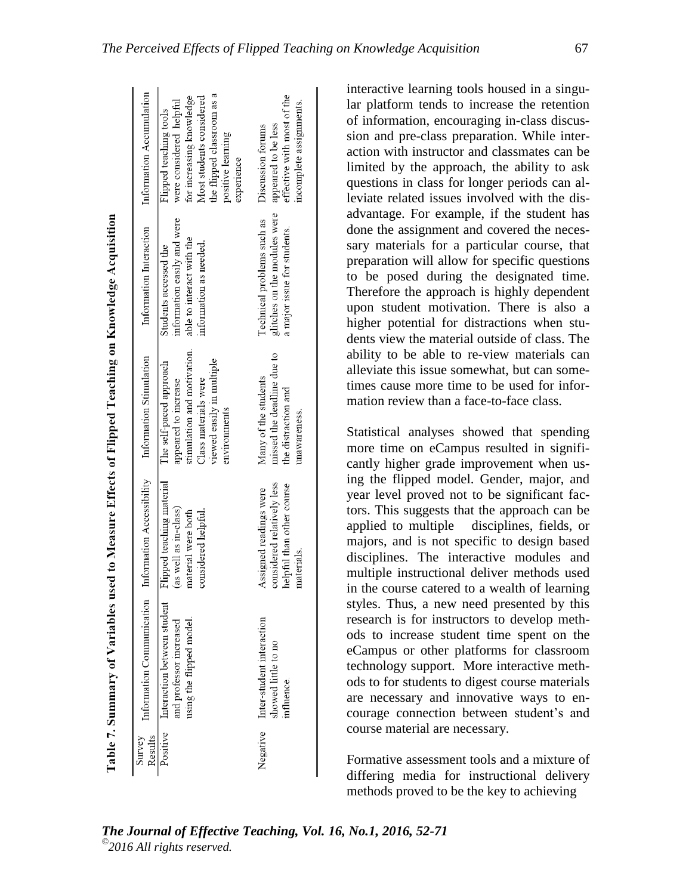|                                                                      | Information Accumulation  | the flipped classroom as a<br>for increasing knowledge<br>Most students considered<br>were considered helpful<br>Flipped teaching tools<br>positive learning<br>experience | effective with most of the<br>incomplete assignments.<br>appeared to be less<br>Discussion forums |
|----------------------------------------------------------------------|---------------------------|----------------------------------------------------------------------------------------------------------------------------------------------------------------------------|---------------------------------------------------------------------------------------------------|
| used to Measure Effects of Flipped Teaching on Knowledge Acquisition | Information Interaction   | information easily and were<br>able to interact with the<br>information as needed.<br>Students accessed the                                                                | glitches on the modules were<br>Technical problems such as<br>a major issue for students.         |
|                                                                      | Information Stimulation   | stimulation and motivation.<br>viewed easily in multiple<br>The self-paced approach<br>Class materials were<br>appeared to increase<br>environments                        | missed the deadline due to<br>Many of the students<br>the distraction and<br>unawareness.         |
|                                                                      | Information Accessibility | Flipped teaching material<br>(as well as in-class)<br>material were both<br>considered helpful.                                                                            | considered relatively less<br>helpful than other course<br>Assigned readings were<br>materials.   |
| Table 7. Summary of Variables 1                                      | Information Communication | Interaction between student<br>using the flipped model<br>and professor increased                                                                                          | Inter-student interaction<br>showed little to no<br>influence.                                    |
|                                                                      | Results<br>Survey         | Positive                                                                                                                                                                   | Negative                                                                                          |

interactive learning tools housed in a singular platform tends to increase the retention of information, encouraging in-class discussion and pre-class preparation. While interaction with instructor and classmates can be limited by the approach, the ability to ask questions in class for longer periods can alleviate related issues involved with the disadvantage. For example, if the student has done the assignment and covered the necessary materials for a particular course, that preparation will allow for specific questions to be posed during the designated time. Therefore the approach is highly dependent upon student motivation. There is also a higher potential for distractions when students view the material outside of class. The ability to be able to re-view materials can alleviate this issue somewhat, but can sometimes cause more time to be used for information review than a face-to-face class.

Statistical analyses showed that spending more time on eCampus resulted in significantly higher grade improvement when using the flipped model. Gender, major, and year level proved not to be significant factors. This suggests that the approach can be applied to multiple disciplines, fields, or majors, and is not specific to design based disciplines. The interactive modules and multiple instructional deliver methods used in the course catered to a wealth of learning styles. Thus, a new need presented by this research is for instructors to develop methods to increase student time spent on the eCampus or other platforms for classroom technology support. More interactive methods to for students to digest course materials are necessary and innovative ways to encourage connection between student's and course material are necessary.

Formative assessment tools and a mixture of differing media for instructional delivery methods proved to be the key to achieving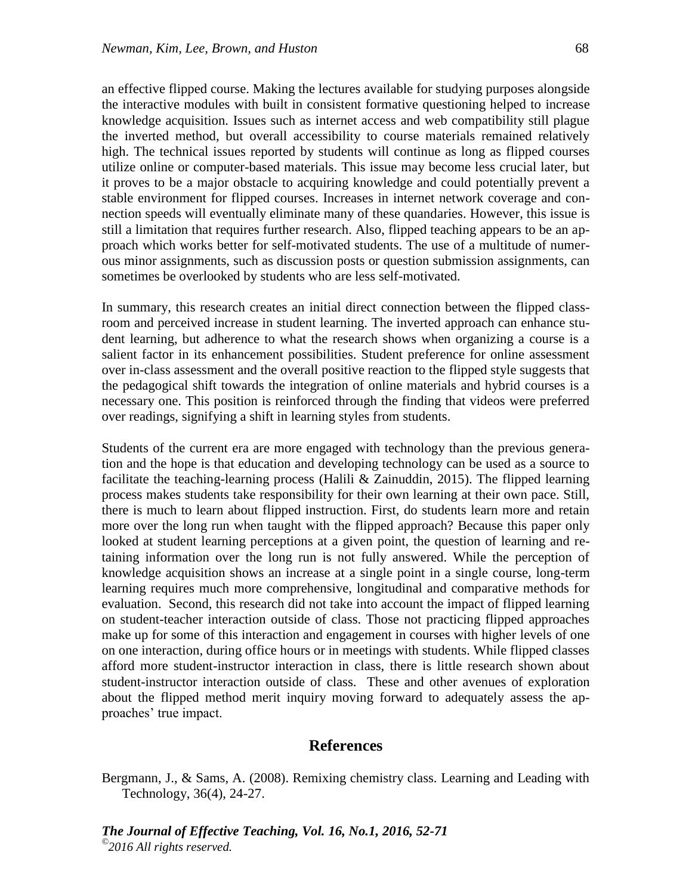an effective flipped course. Making the lectures available for studying purposes alongside the interactive modules with built in consistent formative questioning helped to increase knowledge acquisition. Issues such as internet access and web compatibility still plague the inverted method, but overall accessibility to course materials remained relatively high. The technical issues reported by students will continue as long as flipped courses utilize online or computer-based materials. This issue may become less crucial later, but it proves to be a major obstacle to acquiring knowledge and could potentially prevent a stable environment for flipped courses. Increases in internet network coverage and connection speeds will eventually eliminate many of these quandaries. However, this issue is still a limitation that requires further research. Also, flipped teaching appears to be an approach which works better for self-motivated students. The use of a multitude of numerous minor assignments, such as discussion posts or question submission assignments, can sometimes be overlooked by students who are less self-motivated.

In summary, this research creates an initial direct connection between the flipped classroom and perceived increase in student learning. The inverted approach can enhance student learning, but adherence to what the research shows when organizing a course is a salient factor in its enhancement possibilities. Student preference for online assessment over in-class assessment and the overall positive reaction to the flipped style suggests that the pedagogical shift towards the integration of online materials and hybrid courses is a necessary one. This position is reinforced through the finding that videos were preferred over readings, signifying a shift in learning styles from students.

Students of the current era are more engaged with technology than the previous generation and the hope is that education and developing technology can be used as a source to facilitate the teaching-learning process (Halili & Zainuddin, 2015). The flipped learning process makes students take responsibility for their own learning at their own pace. Still, there is much to learn about flipped instruction. First, do students learn more and retain more over the long run when taught with the flipped approach? Because this paper only looked at student learning perceptions at a given point, the question of learning and retaining information over the long run is not fully answered. While the perception of knowledge acquisition shows an increase at a single point in a single course, long-term learning requires much more comprehensive, longitudinal and comparative methods for evaluation. Second, this research did not take into account the impact of flipped learning on student-teacher interaction outside of class. Those not practicing flipped approaches make up for some of this interaction and engagement in courses with higher levels of one on one interaction, during office hours or in meetings with students. While flipped classes afford more student-instructor interaction in class, there is little research shown about student-instructor interaction outside of class. These and other avenues of exploration about the flipped method merit inquiry moving forward to adequately assess the approaches' true impact.

# **References**

Bergmann, J., & Sams, A. (2008). Remixing chemistry class. Learning and Leading with Technology, 36(4), 24-27.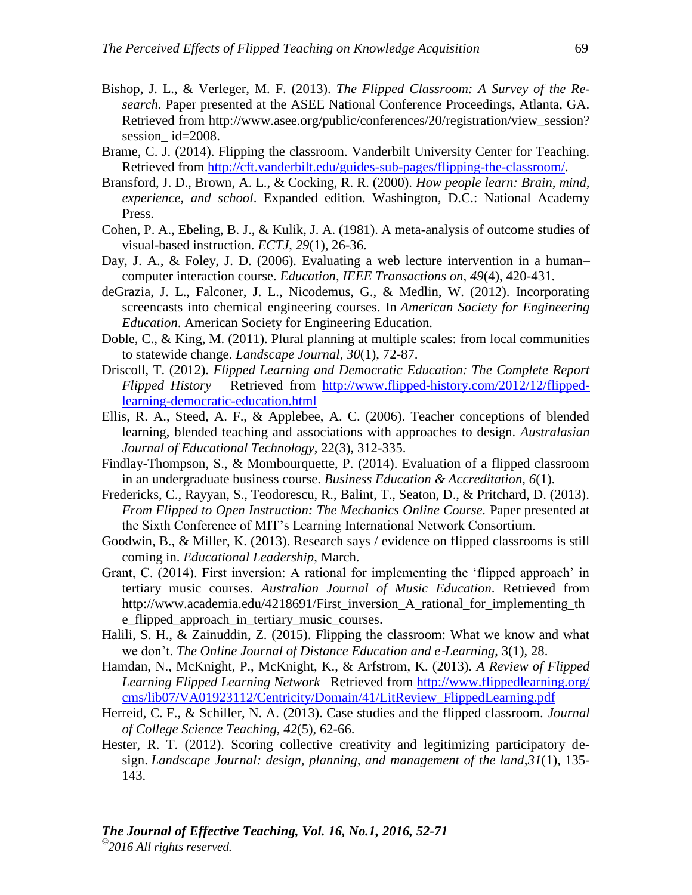- Bishop, J. L., & Verleger, M. F. (2013). *The Flipped Classroom: A Survey of the Research.* Paper presented at the ASEE National Conference Proceedings, Atlanta, GA. Retrieved from http://www.asee.org/public/conferences/20/registration/view\_session? session\_id=2008.
- Brame, C. J. (2014). Flipping the classroom. Vanderbilt University Center for Teaching. Retrieved from [http://cft.vanderbilt.edu/guides-sub-pages/flipping-the-classroom/.](http://cft.vanderbilt.edu/guides-sub-pages/flipping-the-classroom/)
- Bransford, J. D., Brown, A. L., & Cocking, R. R. (2000). *How people learn: Brain, mind, experience, and school*. Expanded edition. Washington, D.C.: National Academy Press.
- Cohen, P. A., Ebeling, B. J., & Kulik, J. A. (1981). A meta-analysis of outcome studies of visual-based instruction. *ECTJ*, *29*(1), 26-36.
- Day, J. A., & Foley, J. D. (2006). Evaluating a web lecture intervention in a human– computer interaction course. *Education, IEEE Transactions on*, *49*(4), 420-431.
- deGrazia, J. L., Falconer, J. L., Nicodemus, G., & Medlin, W. (2012). Incorporating screencasts into chemical engineering courses. In *American Society for Engineering Education*. American Society for Engineering Education.
- Doble, C., & King, M. (2011). Plural planning at multiple scales: from local communities to statewide change. *Landscape Journal*, *30*(1), 72-87.
- Driscoll, T. (2012). *Flipped Learning and Democratic Education: The Complete Report Flipped History* Retrieved from [http://www.flipped-history.com/2012/12/flipped](http://www.flipped-history.com/2012/12/flipped-learning-democratic-education.html)[learning-democratic-education.html](http://www.flipped-history.com/2012/12/flipped-learning-democratic-education.html)
- Ellis, R. A., Steed, A. F., & Applebee, A. C. (2006). Teacher conceptions of blended learning, blended teaching and associations with approaches to design. *Australasian Journal of Educational Technology*, 22(3), 312-335.
- Findlay-Thompson, S., & Mombourquette, P. (2014). Evaluation of a flipped classroom in an undergraduate business course. *Business Education & Accreditation, 6*(1).
- Fredericks, C., Rayyan, S., Teodorescu, R., Balint, T., Seaton, D., & Pritchard, D. (2013). *From Flipped to Open Instruction: The Mechanics Online Course.* Paper presented at the Sixth Conference of MIT's Learning International Network Consortium.
- Goodwin, B., & Miller, K. (2013). Research says / evidence on flipped classrooms is still coming in. *Educational Leadership*, March.
- Grant, C. (2014). First inversion: A rational for implementing the 'flipped approach' in tertiary music courses. *Australian Journal of Music Education*. Retrieved from http://www.academia.edu/4218691/First\_inversion\_A\_rational\_for\_implementing\_th e\_flipped\_approach\_in\_tertiary\_music\_courses.
- Halili, S. H., & Zainuddin, Z. (2015). Flipping the classroom: What we know and what we don't. *The Online Journal of Distance Education and e-Learning*, 3(1), 28.
- Hamdan, N., McKnight, P., McKnight, K., & Arfstrom, K. (2013). *A Review of Flipped Learning Flipped Learning Network* Retrieved from [http://www.flippedlearning.org/](http://www.flippedlearning.org/%0bcms/lib07/VA01923112/Centricity/Domain/41/LitReview_FlippedLearning.pdf) [cms/lib07/VA01923112/Centricity/Domain/41/LitReview\\_FlippedLearning.pdf](http://www.flippedlearning.org/%0bcms/lib07/VA01923112/Centricity/Domain/41/LitReview_FlippedLearning.pdf)
- Herreid, C. F., & Schiller, N. A. (2013). Case studies and the flipped classroom. *Journal of College Science Teaching, 42*(5), 62-66.
- Hester, R. T. (2012). Scoring collective creativity and legitimizing participatory design. *Landscape Journal: design, planning, and management of the land*,*31*(1), 135- 143.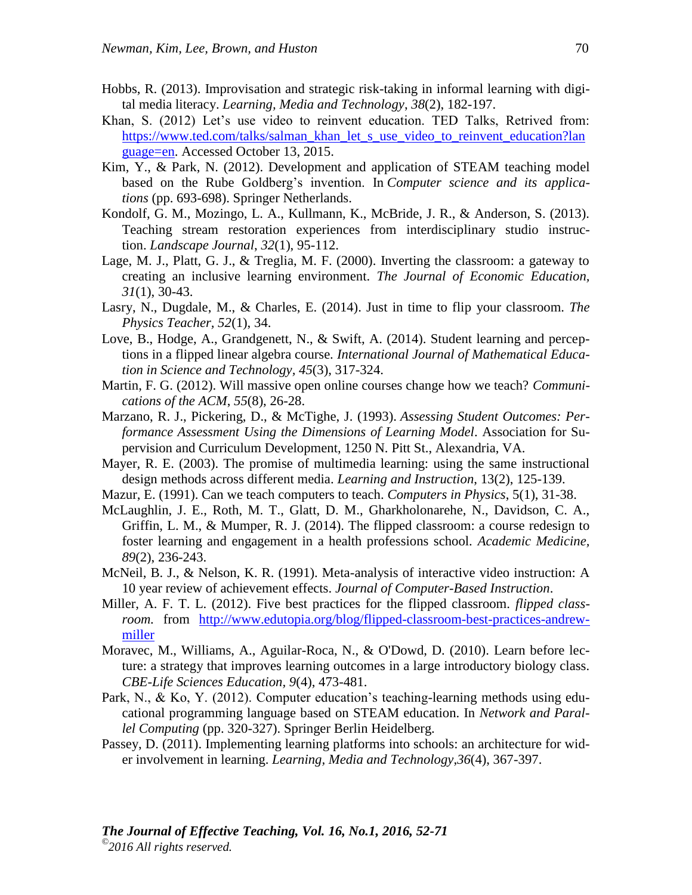- Hobbs, R. (2013). Improvisation and strategic risk-taking in informal learning with digital media literacy. *Learning, Media and Technology*, *38*(2), 182-197.
- Khan, S. (2012) Let's use video to reinvent education. TED Talks, Retrived from: [https://www.ted.com/talks/salman\\_khan\\_let\\_s\\_use\\_video\\_to\\_reinvent\\_education?lan](https://www.ted.com/talks/salman_khan_let_s_use_video_to_reinvent_education?language=en) [guage=en.](https://www.ted.com/talks/salman_khan_let_s_use_video_to_reinvent_education?language=en) Accessed October 13, 2015.
- Kim, Y., & Park, N. (2012). Development and application of STEAM teaching model based on the Rube Goldberg's invention. In *Computer science and its applications* (pp. 693-698). Springer Netherlands.
- Kondolf, G. M., Mozingo, L. A., Kullmann, K., McBride, J. R., & Anderson, S. (2013). Teaching stream restoration experiences from interdisciplinary studio instruction. *Landscape Journal*, *32*(1), 95-112.
- Lage, M. J., Platt, G. J., & Treglia, M. F. (2000). Inverting the classroom: a gateway to creating an inclusive learning environment. *The Journal of Economic Education, 31*(1), 30-43.
- Lasry, N., Dugdale, M., & Charles, E. (2014). Just in time to flip your classroom. *The Physics Teacher, 52*(1), 34.
- Love, B., Hodge, A., Grandgenett, N., & Swift, A. (2014). Student learning and perceptions in a flipped linear algebra course. *International Journal of Mathematical Education in Science and Technology, 45*(3), 317-324.
- Martin, F. G. (2012). Will massive open online courses change how we teach? *Communications of the ACM*, *55*(8), 26-28.
- Marzano, R. J., Pickering, D., & McTighe, J. (1993). *Assessing Student Outcomes: Performance Assessment Using the Dimensions of Learning Model*. Association for Supervision and Curriculum Development, 1250 N. Pitt St., Alexandria, VA.
- Mayer, R. E. (2003). The promise of multimedia learning: using the same instructional design methods across different media. *Learning and Instruction*, 13(2), 125-139.
- Mazur, E. (1991). Can we teach computers to teach. *Computers in Physics*, 5(1), 31-38.
- McLaughlin, J. E., Roth, M. T., Glatt, D. M., Gharkholonarehe, N., Davidson, C. A., Griffin, L. M., & Mumper, R. J. (2014). The flipped classroom: a course redesign to foster learning and engagement in a health professions school. *Academic Medicine, 89*(2), 236-243.
- McNeil, B. J., & Nelson, K. R. (1991). Meta-analysis of interactive video instruction: A 10 year review of achievement effects. *Journal of Computer-Based Instruction*.
- Miller, A. F. T. L. (2012). Five best practices for the flipped classroom. *flipped classroom.* from [http://www.edutopia.org/blog/flipped-classroom-best-practices-andrew](http://www.edutopia.org/blog/flipped-classroom-best-practices-andrew-miller)[miller](http://www.edutopia.org/blog/flipped-classroom-best-practices-andrew-miller)
- Moravec, M., Williams, A., Aguilar-Roca, N., & O'Dowd, D. (2010). Learn before lecture: a strategy that improves learning outcomes in a large introductory biology class. *CBE-Life Sciences Education, 9*(4), 473-481.
- Park, N., & Ko, Y. (2012). Computer education's teaching-learning methods using educational programming language based on STEAM education. In *Network and Parallel Computing* (pp. 320-327). Springer Berlin Heidelberg.
- Passey, D. (2011). Implementing learning platforms into schools: an architecture for wider involvement in learning. *Learning, Media and Technology*,*36*(4), 367-397.